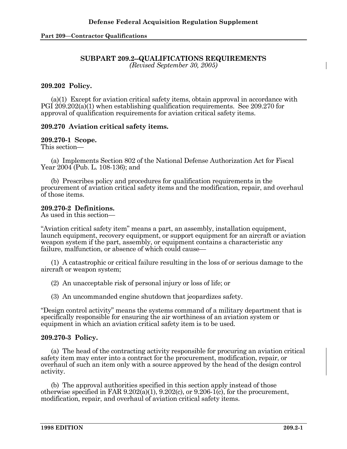#### **SUBPART 209.2--QUALIFICATIONS REQUIREMENTS**  *(Revised September 30, 2005)*

# **209.202 Policy.**

 (a)(1) Except for aviation critical safety items, obtain approval in accordance with PGI 209.202(a)(1) when establishing qualification requirements. See 209.270 for approval of qualification requirements for aviation critical safety items.

## **209.270 Aviation critical safety items.**

#### **209.270-1 Scope.**

This section—

 (a) Implements Section 802 of the National Defense Authorization Act for Fiscal Year 2004 (Pub. L. 108-136); and

 (b) Prescribes policy and procedures for qualification requirements in the procurement of aviation critical safety items and the modification, repair, and overhaul of those items.

## **209.270-2 Definitions.**

As used in this section—

"Aviation critical safety item" means a part, an assembly, installation equipment, launch equipment, recovery equipment, or support equipment for an aircraft or aviation weapon system if the part, assembly, or equipment contains a characteristic any failure, malfunction, or absence of which could cause—

 (1) A catastrophic or critical failure resulting in the loss of or serious damage to the aircraft or weapon system;

(2) An unacceptable risk of personal injury or loss of life; or

(3) An uncommanded engine shutdown that jeopardizes safety.

"Design control activity" means the systems command of a military department that is specifically responsible for ensuring the air worthiness of an aviation system or equipment in which an aviation critical safety item is to be used.

# **209.270-3 Policy.**

 (a) The head of the contracting activity responsible for procuring an aviation critical safety item may enter into a contract for the procurement, modification, repair, or overhaul of such an item only with a source approved by the head of the design control activity.

 (b) The approval authorities specified in this section apply instead of those otherwise specified in FAR  $9.202(a)(1)$ ,  $9.202(c)$ , or  $9.206-1(c)$ , for the procurement, modification, repair, and overhaul of aviation critical safety items.